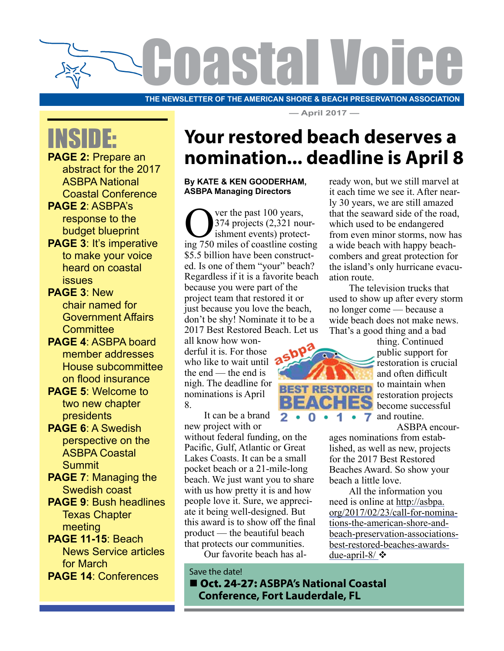

**THE NEWSLETTER OF THE AMERICAN SHORE & BEACH PRESERVATION ASSOCIATION**

**— April 2017 —**

# INSIDE:

**PAGE 2: Prepare an** abstract for the 2017 ASBPA National Coastal Conference

**PAGE 2**: ASBPA's response to the budget blueprint

**PAGE 3**: It's imperative to make your voice heard on coastal issues

**PAGE 3**: New chair named for Government Affairs **Committee** 

- **PAGE 4**: ASBPA board member addresses House subcommittee on flood insurance
- **PAGE 5**: Welcome to two new chapter presidents
- **PAGE 6**: A Swedish perspective on the ASBPA Coastal **Summit**
- **PAGE 7**: Managing the Swedish coast
- **PAGE 9**: Bush headlines Texas Chapter meeting
- **PAGE 11-15**: Beach News Service articles for March **PAGE 14**: Conferences

### **Your restored beach deserves a nomination... deadline is April 8**

#### **By KATE & KEN GOODERHAM, ASBPA Managing Directors**

 $\bigodot$  ver the past 100 years,<br>374 projects (2,321 not<br>ing 750 miles of coastline costs 374 projects (2,321 nourishment events) protecting 750 miles of coastline costing \$5.5 billion have been constructed. Is one of them "your" beach? Regardless if it is a favorite beach because you were part of the project team that restored it or just because you love the beach, don't be shy! Nominate it to be a 2017 Best Restored Beach. Let us

all know how wonderful it is. For those who like to wait until the end — the end is nigh. The deadline for nominations is April 8.

It can be a brand new project with or

without federal funding, on the Pacific, Gulf, Atlantic or Great Lakes Coasts. It can be a small pocket beach or a 21-mile-long beach. We just want you to share with us how pretty it is and how people love it. Sure, we appreciate it being well-designed. But this award is to show off the final product — the beautiful beach that protects our communities.

Our favorite beach has al-

Save the date! ■ Oct. 24-27: ASBPA's National Coastal  **Conference, Fort Lauderdale, FL**

ready won, but we still marvel at it each time we see it. After nearly 30 years, we are still amazed that the seaward side of the road, which used to be endangered from even minor storms, now has a wide beach with happy beachcombers and great protection for the island's only hurricane evacuation route.

The television trucks that used to show up after every storm no longer come — because a wide beach does not make news. That's a good thing and a bad



thing. Continued public support for restoration is crucial and often difficult to maintain when restoration projects become successful and routine.

ASBPA encour-

ages nominations from established, as well as new, projects for the 2017 Best Restored Beaches Award. So show your beach a little love.

All the information you need is online at http://asbpa. org/2017/02/23/call-for-nominations-the-american-shore-andbeach-preservation-associationsbest-restored-beaches-awardsdue-april-8/ $\cdot$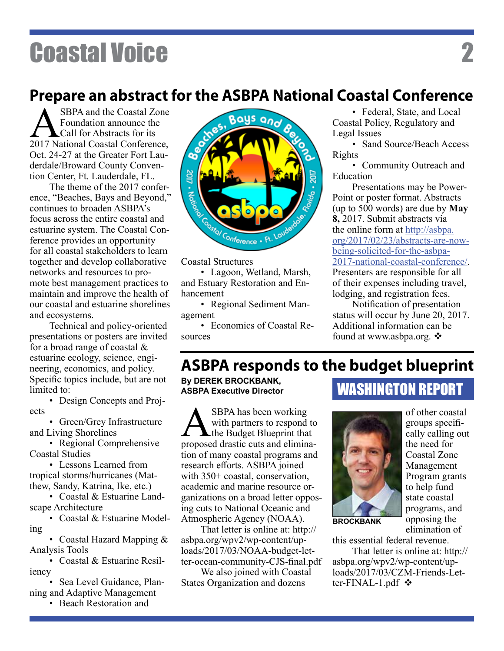### **Prepare an abstract for the ASBPA National Coastal Conference**

Bays and

SBPA and the Coastal Zone<br>
Foundation announce the<br>
2017 National Coastal Conference, Foundation announce the **L**Call for Abstracts for its Oct. 24-27 at the Greater Fort Lauderdale/Broward County Convention Center, Ft. Lauderdale, FL.

The theme of the 2017 conference, "Beaches, Bays and Beyond," continues to broaden ASBPA's focus across the entire coastal and estuarine system. The Coastal Conference provides an opportunity for all coastal stakeholders to learn together and develop collaborative networks and resources to promote best management practices to maintain and improve the health of our coastal and estuarine shorelines and ecosystems.

Technical and policy-oriented presentations or posters are invited for a broad range of coastal & estuarine ecology, science, engineering, economics, and policy. Specific topics include, but are not limited to:

• Design Concepts and Projects

• Green/Grey Infrastructure and Living Shorelines

• Regional Comprehensive Coastal Studies

• Lessons Learned from tropical storms/hurricanes (Matthew, Sandy, Katrina, Ike, etc.)

• Coastal & Estuarine Landscape Architecture

• Coastal & Estuarine Modeling

• Coastal Hazard Mapping & Analysis Tools

• Coastal & Estuarine Resiliency

• Sea Level Guidance, Planning and Adaptive Management

• Beach Restoration and



**Contract** 

Coastal Structures

• Lagoon, Wetland, Marsh, and Estuary Restoration and Enhancement

• Regional Sediment Management

• Economics of Coastal Resources

• Federal, State, and Local Coastal Policy, Regulatory and Legal Issues

• Sand Source/Beach Access Rights

• Community Outreach and Education

Presentations may be Power-Point or poster format. Abstracts (up to 500 words) are due by **May 8,** 2017. Submit abstracts via the online form at http://asbpa. org/2017/02/23/abstracts-are-nowbeing-solicited-for-the-asbpa-2017-national-coastal-conference/. Presenters are responsible for all

of their expenses including travel, lodging, and registration fees.

Notification of presentation status will occur by June 20, 2017. Additional information can be found at www.asbpa.org.  $\triangle$ 

### **ASBPA responds to the budget blueprint**

Ş

**By DEREK BROCKBANK, ASBPA Executive Director**

**ANDER SEPA has been working**<br>
with partners to respond to<br>
proposed drastic cuts and eliminawith partners to respond to the Budget Blueprint that tion of many coastal programs and research efforts. ASBPA joined with 350+ coastal, conservation, academic and marine resource organizations on a broad letter opposing cuts to National Oceanic and Atmospheric Agency (NOAA).

That letter is online at: http:// asbpa.org/wpv2/wp-content/uploads/2017/03/NOAA-budget-letter-ocean-community-CJS-final.pdf

We also joined with Coastal States Organization and dozens

#### WASHINGTON REPORT



**BROCKBANK**

of other coastal groups specifically calling out the need for Coastal Zone Management Program grants to help fund state coastal programs, and opposing the elimination of

this essential federal revenue.

That letter is online at: http:// asbpa.org/wpv2/wp-content/uploads/2017/03/CZM-Friends-Letter-FINAL-1.pdf  $\mathbf{\hat{v}}$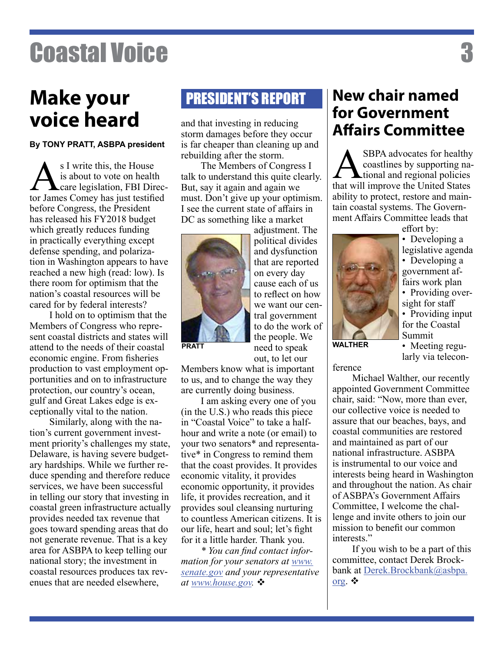### **Make your PRESIDENT'S REPORT voice heard**

**By TONY PRATT, ASBPA president**

 $\sum_{\text{care}}^{\text{S I write this, the House}}$  is about to vote on health<br>tor James Comey has just testific is about to vote on health care legislation, FBI Director James Comey has just testified before Congress, the President has released his FY2018 budget which greatly reduces funding in practically everything except defense spending, and polarization in Washington appears to have reached a new high (read: low). Is there room for optimism that the nation's coastal resources will be cared for by federal interests?

I hold on to optimism that the Members of Congress who represent coastal districts and states will attend to the needs of their coastal economic engine. From fisheries production to vast employment opportunities and on to infrastructure protection, our country's ocean, gulf and Great Lakes edge is exceptionally vital to the nation.

Similarly, along with the nation's current government investment priority's challenges my state, Delaware, is having severe budgetary hardships. While we further reduce spending and therefore reduce services, we have been successful in telling our story that investing in coastal green infrastructure actually provides needed tax revenue that goes toward spending areas that do not generate revenue. That is a key area for ASBPA to keep telling our national story; the investment in coastal resources produces tax revenues that are needed elsewhere,

and that investing in reducing storm damages before they occur is far cheaper than cleaning up and rebuilding after the storm.

The Members of Congress I talk to understand this quite clearly. But, say it again and again we must. Don't give up your optimism. I see the current state of affairs in DC as something like a market



adjustment. The political divides and dysfunction that are reported on every day cause each of us to reflect on how we want our central government to do the work of the people. We need to speak out, to let our

**PRATT**

Members know what is important to us, and to change the way they are currently doing business.

I am asking every one of you (in the U.S.) who reads this piece in "Coastal Voice" to take a halfhour and write a note (or email) to your two senators\* and representative\* in Congress to remind them that the coast provides. It provides economic vitality, it provides economic opportunity, it provides life, it provides recreation, and it provides soul cleansing nurturing to countless American citizens. It is our life, heart and soul; let's fight for it a little harder. Thank you.

*\* You can find contact information for your senators at www. senate.gov and your representative at www.house.gov. ❖* 

### **New chair named for Government Affairs Committee**

SBPA advocates for healthy<br>coastlines by supporting na-<br>tional and regional policies<br>that will improve the United States coastlines by supporting national and regional policies that will improve the United States ability to protect, restore and maintain coastal systems. The Government Affairs Committee leads that

effort by:



• Developing a government af-

fairs work plan • Providing oversight for staff

• Providing input for the Coastal Summit

**WALTHER**

• Meeting regularly via telecon-

ference

Michael Walther, our recently appointed Government Committee chair, said: "Now, more than ever, our collective voice is needed to assure that our beaches, bays, and coastal communities are restored and maintained as part of our national infrastructure. ASBPA is instrumental to our voice and interests being heard in Washington and throughout the nation. As chair of ASBPA's Government Affairs Committee, I welcome the challenge and invite others to join our mission to benefit our common interests."

If you wish to be a part of this committee, contact Derek Brockbank at Derek.Brockbank@asbpa. org.  $\bullet$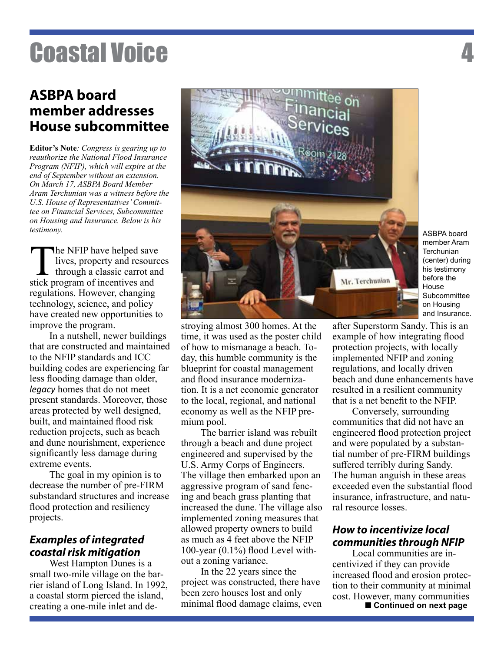#### **ASBPA board member addresses House subcommittee**

**Editor's Note***: Congress is gearing up to reauthorize the National Flood Insurance Program (NFIP), which will expire at the end of September without an extension. On March 17, ASBPA Board Member Aram Terchunian was a witness before the U.S. House of Representatives' Committee on Financial Services, Subcommittee on Housing and Insurance. Below is his testimony.*

The NFIP have helped save lives, property and resources through a classic carrot and stick program of incentives and regulations. However, changing technology, science, and policy have created new opportunities to improve the program.

In a nutshell, newer buildings that are constructed and maintained to the NFIP standards and ICC building codes are experiencing far less flooding damage than older, *legacy* homes that do not meet present standards. Moreover, those areas protected by well designed, built, and maintained flood risk reduction projects, such as beach and dune nourishment, experience significantly less damage during extreme events.

The goal in my opinion is to decrease the number of pre-FIRM substandard structures and increase flood protection and resiliency projects.

#### *Examples of integrated coastal risk mitigation*

West Hampton Dunes is a small two-mile village on the barrier island of Long Island. In 1992, a coastal storm pierced the island, creating a one-mile inlet and de-



ASBPA board member Aram **Terchunian** (center) during his testimony before the House **Subcommittee** on Housing and Insurance.

stroying almost 300 homes. At the time, it was used as the poster child of how to mismanage a beach. Today, this humble community is the blueprint for coastal management and flood insurance modernization. It is a net economic generator to the local, regional, and national economy as well as the NFIP premium pool.

The barrier island was rebuilt through a beach and dune project engineered and supervised by the U.S. Army Corps of Engineers. The village then embarked upon an aggressive program of sand fencing and beach grass planting that increased the dune. The village also implemented zoning measures that allowed property owners to build as much as 4 feet above the NFIP 100-year (0.1%) flood Level without a zoning variance.

In the 22 years since the project was constructed, there have been zero houses lost and only minimal flood damage claims, even after Superstorm Sandy. This is an example of how integrating flood protection projects, with locally implemented NFIP and zoning regulations, and locally driven beach and dune enhancements have resulted in a resilient community that is a net benefit to the NFIP.

Conversely, surrounding communities that did not have an engineered flood protection project and were populated by a substantial number of pre-FIRM buildings suffered terribly during Sandy. The human anguish in these areas exceeded even the substantial flood insurance, infrastructure, and natural resource losses.

#### *How to incentivize local communities through NFIP*

**Continued on next page** Local communities are incentivized if they can provide increased flood and erosion protection to their community at minimal cost. However, many communities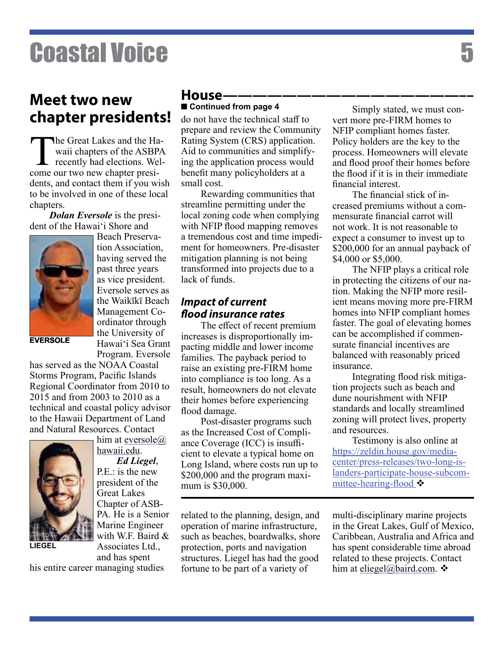### **Meet two new chapter presidents!**

The Great Lakes and the Ha-<br>waii chapters of the ASBPA<br>recently had elections. Wel-<br>come our two new chapter presiwaii chapters of the ASBPA recently had elections. Welcome our two new chapter presidents, and contact them if you wish to be involved in one of these local chapters.

*Dolan Eversole* is the president of the Hawai'i Shore and



Beach Preservation Association, having served the past three years as vice president. Eversole serves as the Waikīkī Beach Management Coordinator through the University of Hawai'i Sea Grant Program. Eversole

**EVERSOLE**

has served as the NOAA Coastal Storms Program, Pacific Islands Regional Coordinator from 2010 to 2015 and from 2003 to 2010 as a technical and coastal policy advisor to the Hawaii Department of Land and Natural Resources. Contact



him at eversole@ hawaii.edu.

*Ed Liegel*, P.E.: is the new president of the Great Lakes Chapter of ASB-PA. He is a Senior Marine Engineer with W.F. Baird & Associates Ltd.,

and has spent his entire career managing studies

#### **House————————————————––** ■ Continued from page 4

do not have the technical staff to prepare and review the Community Rating System (CRS) application. Aid to communities and simplifying the application process would benefit many policyholders at a small cost.

Rewarding communities that streamline permitting under the local zoning code when complying with NFIP flood mapping removes a tremendous cost and time impediment for homeowners. Pre-disaster mitigation planning is not being transformed into projects due to a lack of funds.

#### *Impact of current flood insurance rates*

The effect of recent premium increases is disproportionally impacting middle and lower income families. The payback period to raise an existing pre-FIRM home into compliance is too long. As a result, homeowners do not elevate their homes before experiencing flood damage.

Post-disaster programs such as the Increased Cost of Compliance Coverage (ICC) is insufficient to elevate a typical home on Long Island, where costs run up to \$200,000 and the program maximum is \$30,000.

related to the planning, design, and operation of marine infrastructure, such as beaches, boardwalks, shore protection, ports and navigation structures. Liegel has had the good fortune to be part of a variety of

Simply stated, we must convert more pre-FIRM homes to NFIP compliant homes faster. Policy holders are the key to the process. Homeowners will elevate and flood proof their homes before the flood if it is in their immediate financial interest.

The financial stick of increased premiums without a commensurate financial carrot will not work. It is not reasonable to expect a consumer to invest up to \$200,000 for an annual payback of \$4,000 or \$5,000.

The NFIP plays a critical role in protecting the citizens of our nation. Making the NFIP more resilient means moving more pre-FIRM homes into NFIP compliant homes faster. The goal of elevating homes can be accomplished if commensurate financial incentives are balanced with reasonably priced insurance.

Integrating flood risk mitigation projects such as beach and dune nourishment with NFIP standards and locally streamlined zoning will protect lives, property and resources.

Testimony is also online at https://zeldin.house.gov/mediacenter/press-releases/two-long-islanders-participate-house-subcommittee-hearing-flood  $\clubsuit$ 

multi-disciplinary marine projects in the Great Lakes, Gulf of Mexico, Caribbean, Australia and Africa and has spent considerable time abroad related to these projects. Contact him at eliegel@baird.com.  $\mathbf{\hat{v}}$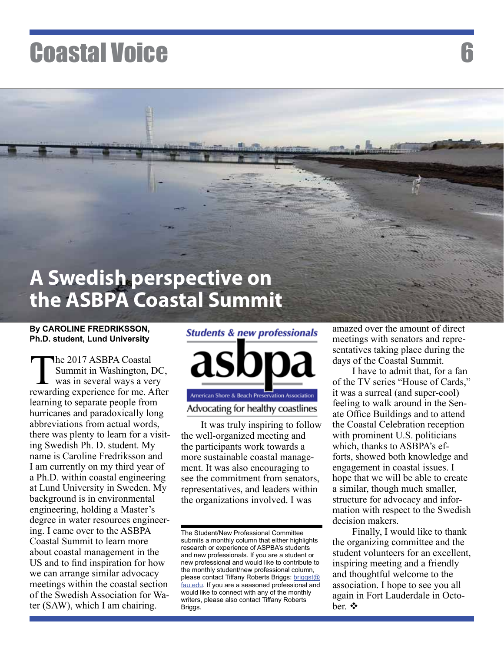### **A Swedish perspective on the ASBPA Coastal Summit**

#### **By CAROLINE FREDRIKSSON, Ph.D. student, Lund University**

The 2017 ASBPA Coastal<br>Summit in Washington, I<br>was in several ways a ver-<br>rewarding experience for me. A Summit in Washington, DC, was in several ways a very rewarding experience for me. After learning to separate people from hurricanes and paradoxically long abbreviations from actual words, there was plenty to learn for a visiting Swedish Ph. D. student. My name is Caroline Fredriksson and I am currently on my third year of a Ph.D. within coastal engineering at Lund University in Sweden. My background is in environmental engineering, holding a Master's degree in water resources engineering. I came over to the ASBPA Coastal Summit to learn more about coastal management in the US and to find inspiration for how we can arrange similar advocacy meetings within the coastal section of the Swedish Association for Water (SAW), which I am chairing.



It was truly inspiring to follow the well-organized meeting and the participants work towards a more sustainable coastal management. It was also encouraging to see the commitment from senators, representatives, and leaders within the organizations involved. I was

The Student/New Professional Committee submits a monthly column that either highlights research or experience of ASPBA's students and new professionals. If you are a student or new professional and would like to contribute to the monthly student/new professional column, please contact Tiffany Roberts Briggs: briggst@ fau.edu. If you are a seasoned professional and would like to connect with any of the monthly writers, please also contact Tiffany Roberts Briggs.

amazed over the amount of direct meetings with senators and representatives taking place during the days of the Coastal Summit.

I have to admit that, for a fan of the TV series "House of Cards," it was a surreal (and super-cool) feeling to walk around in the Senate Office Buildings and to attend the Coastal Celebration reception with prominent U.S. politicians which, thanks to ASBPA's efforts, showed both knowledge and engagement in coastal issues. I hope that we will be able to create a similar, though much smaller, structure for advocacy and information with respect to the Swedish decision makers.

Finally, I would like to thank the organizing committee and the student volunteers for an excellent, inspiring meeting and a friendly and thoughtful welcome to the association. I hope to see you all again in Fort Lauderdale in October.  $\mathbf{\hat{v}}$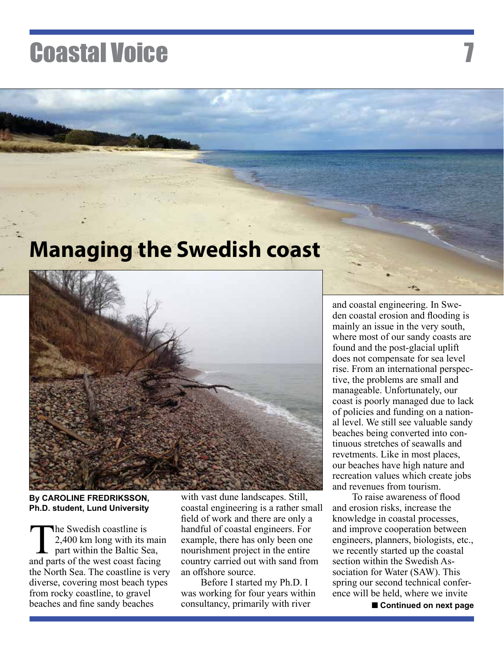### **Managing the Swedish coast**



**By CAROLINE FREDRIKSSON, Ph.D. student, Lund University**

The Swedish coastline is<br>2,400 km long with its r<br>part within the Baltic Se<br>and parts of the west coast fact 2,400 km long with its main part within the Baltic Sea, and parts of the west coast facing the North Sea. The coastline is very diverse, covering most beach types from rocky coastline, to gravel beaches and fine sandy beaches

with vast dune landscapes. Still, coastal engineering is a rather small field of work and there are only a handful of coastal engineers. For example, there has only been one nourishment project in the entire country carried out with sand from an offshore source.

Before I started my Ph.D. I was working for four years within consultancy, primarily with river

and coastal engineering. In Sweden coastal erosion and flooding is mainly an issue in the very south, where most of our sandy coasts are found and the post-glacial uplift does not compensate for sea level rise. From an international perspective, the problems are small and manageable. Unfortunately, our coast is poorly managed due to lack of policies and funding on a national level. We still see valuable sandy beaches being converted into continuous stretches of seawalls and revetments. Like in most places, our beaches have high nature and recreation values which create jobs and revenues from tourism.

To raise awareness of flood and erosion risks, increase the knowledge in coastal processes, and improve cooperation between engineers, planners, biologists, etc., we recently started up the coastal section within the Swedish Association for Water (SAW). This spring our second technical conference will be held, where we invite

**Continued on next page**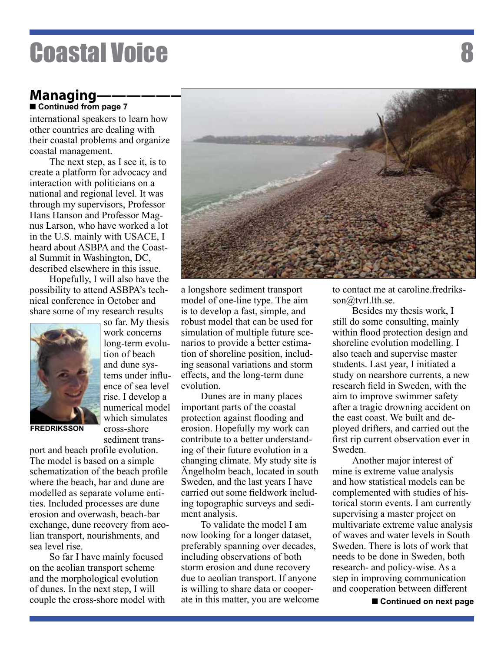#### **Managing** ■ Continued from page 7

international speakers to learn how other countries are dealing with their coastal problems and organize coastal management.

The next step, as I see it, is to create a platform for advocacy and interaction with politicians on a national and regional level. It was through my supervisors, Professor Hans Hanson and Professor Magnus Larson, who have worked a lot in the U.S. mainly with USACE, I heard about ASBPA and the Coastal Summit in Washington, DC, described elsewhere in this issue.

Hopefully, I will also have the possibility to attend ASBPA's technical conference in October and share some of my research results



so far. My thesis work concerns long-term evolution of beach and dune systems under influence of sea level rise. I develop a numerical model which simulates cross-shore sediment trans-

**FREDRIKSSON**

port and beach profile evolution. The model is based on a simple schematization of the beach profile where the beach, bar and dune are modelled as separate volume entities. Included processes are dune erosion and overwash, beach-bar exchange, dune recovery from aeolian transport, nourishments, and sea level rise.

So far I have mainly focused on the aeolian transport scheme and the morphological evolution of dunes. In the next step, I will couple the cross-shore model with



a longshore sediment transport model of one-line type. The aim is to develop a fast, simple, and robust model that can be used for simulation of multiple future scenarios to provide a better estimation of shoreline position, including seasonal variations and storm effects, and the long-term dune evolution.

Dunes are in many places important parts of the coastal protection against flooding and erosion. Hopefully my work can contribute to a better understanding of their future evolution in a changing climate. My study site is Ängelholm beach, located in south Sweden, and the last years I have carried out some fieldwork including topographic surveys and sediment analysis.

To validate the model I am now looking for a longer dataset, preferably spanning over decades, including observations of both storm erosion and dune recovery due to aeolian transport. If anyone is willing to share data or cooperate in this matter, you are welcome to contact me at caroline.fredriksson@tvrl.lth.se.

Besides my thesis work, I still do some consulting, mainly within flood protection design and shoreline evolution modelling. I also teach and supervise master students. Last year, I initiated a study on nearshore currents, a new research field in Sweden, with the aim to improve swimmer safety after a tragic drowning accident on the east coast. We built and deployed drifters, and carried out the first rip current observation ever in Sweden.

Another major interest of mine is extreme value analysis and how statistical models can be complemented with studies of historical storm events. I am currently supervising a master project on multivariate extreme value analysis of waves and water levels in South Sweden. There is lots of work that needs to be done in Sweden, both research- and policy-wise. As a step in improving communication and cooperation between different

**Continued on next page**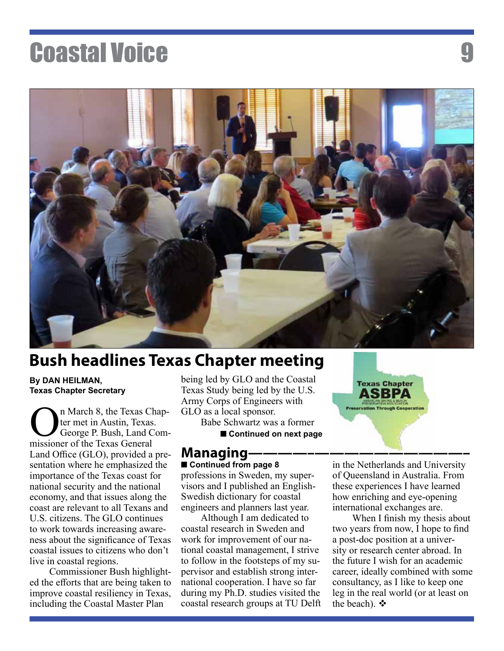

### **Bush headlines Texas Chapter meeting**

#### **By DAN HEILMAN, Texas Chapter Secretary**

**O**n March 8, the Texas Chapter met in Austin, Texas.<br>George P. Bush, Land Commissioner of the Texas General ter met in Austin, Texas. George P. Bush, Land Commissioner of the Texas General Land Office (GLO), provided a presentation where he emphasized the importance of the Texas coast for national security and the national economy, and that issues along the coast are relevant to all Texans and U.S. citizens. The GLO continues to work towards increasing awareness about the significance of Texas coastal issues to citizens who don't live in coastal regions.

Commissioner Bush highlighted the efforts that are being taken to improve coastal resiliency in Texas, including the Coastal Master Plan

being led by GLO and the Coastal Texas Study being led by the U.S. Army Corps of Engineers with GLO as a local sponsor.

Babe Schwartz was a former

**Continued on next page**

#### **Managing** ■ Continued from page 8

professions in Sweden, my supervisors and I published an English-Swedish dictionary for coastal engineers and planners last year.

Although I am dedicated to coastal research in Sweden and work for improvement of our national coastal management, I strive to follow in the footsteps of my supervisor and establish strong international cooperation. I have so far during my Ph.D. studies visited the coastal research groups at TU Delft in the Netherlands and University of Queensland in Australia. From these experiences I have learned how enriching and eye-opening international exchanges are.

**Texas Chapter** ASBPA ervation Through Cooperation

When I finish my thesis about two years from now, I hope to find a post-doc position at a university or research center abroad. In the future I wish for an academic career, ideally combined with some consultancy, as I like to keep one leg in the real world (or at least on the beach).  $\mathbf{\hat{v}}$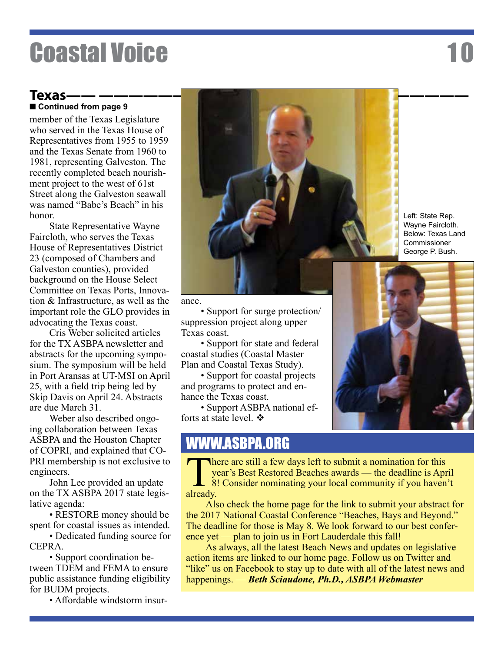### **Continued from page 9**

member of the Texas Legislature who served in the Texas House of Representatives from 1955 to 1959 and the Texas Senate from 1960 to 1981, representing Galveston. The recently completed beach nourishment project to the west of 61st Street along the Galveston seawall was named "Babe's Beach" in his honor.

State Representative Wayne Faircloth, who serves the Texas House of Representatives District 23 (composed of Chambers and Galveston counties), provided background on the House Select Committee on Texas Ports, Innovation & Infrastructure, as well as the important role the GLO provides in advocating the Texas coast.

Cris Weber solicited articles for the TX ASBPA newsletter and abstracts for the upcoming symposium. The symposium will be held in Port Aransas at UT-MSI on April 25, with a field trip being led by Skip Davis on April 24. Abstracts are due March 31.

Weber also described ongoing collaboration between Texas ASBPA and the Houston Chapter of COPRI, and explained that CO-PRI membership is not exclusive to engineers.

John Lee provided an update on the TX ASBPA 2017 state legislative agenda:

• RESTORE money should be spent for coastal issues as intended.

• Dedicated funding source for CEPRA.

• Support coordination between TDEM and FEMA to ensure public assistance funding eligibility for BUDM projects.

• Affordable windstorm insur-



Left: State Rep. Wayne Faircloth. Below: Texas Land **Commissioner** George P. Bush.



• Support for surge protection/ suppression project along upper Texas coast.

• Support for state and federal coastal studies (Coastal Master Plan and Coastal Texas Study).

• Support for coastal projects and programs to protect and enhance the Texas coast.

• Support ASBPA national efforts at state level.  $\mathbf{\hat{P}}$ 

### WWW.ASBPA.ORG



There are still a few days left to submit a nomination for this year's Best Restored Beaches awards — the deadline is Apr 8! Consider nominating your local community if you haven year's Best Restored Beaches awards — the deadline is April 8! Consider nominating your local community if you haven't already.

Also check the home page for the link to submit your abstract for the 2017 National Coastal Conference "Beaches, Bays and Beyond." The deadline for those is May 8. We look forward to our best conference yet — plan to join us in Fort Lauderdale this fall!

As always, all the latest Beach News and updates on legislative action items are linked to our home page. Follow us on Twitter and "like" us on Facebook to stay up to date with all of the latest news and happenings. — *Beth Sciaudone, Ph.D., ASBPA Webmaster*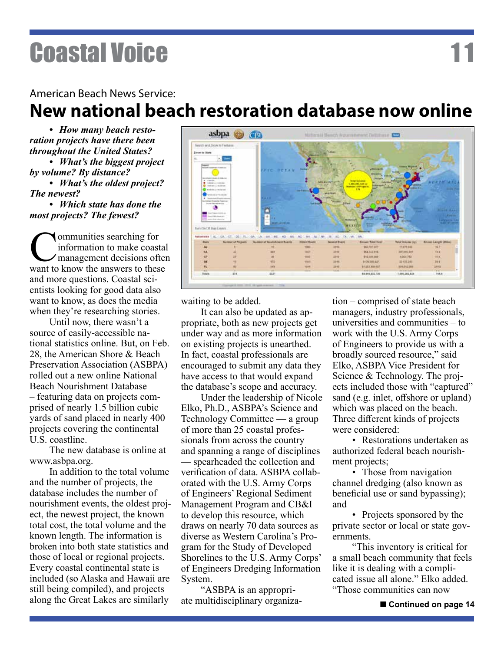#### American Beach News Service:

### **New national beach restoration database now online**

*• How many beach restoration projects have there been throughout the United States?*

*• What's the biggest project by volume? By distance?*

*• What's the oldest project? The newest?*

*• Which state has done the most projects? The fewest?*

**Communities searching for<br>
information to make coast**<br>
want to know the answers to thes information to make coastal management decisions often want to know the answers to these and more questions. Coastal scientists looking for good data also want to know, as does the media when they're researching stories.

Until now, there wasn't a source of easily-accessible national statistics online. But, on Feb. 28, the American Shore & Beach Preservation Association (ASBPA) rolled out a new online National Beach Nourishment Database – featuring data on projects comprised of nearly 1.5 billion cubic yards of sand placed in nearly 400 projects covering the continental U.S. coastline.

The new database is online at www.asbpa.org.

In addition to the total volume and the number of projects, the database includes the number of nourishment events, the oldest project, the newest project, the known total cost, the total volume and the known length. The information is broken into both state statistics and those of local or regional projects. Every coastal continental state is included (so Alaska and Hawaii are still being compiled), and projects along the Great Lakes are similarly



waiting to be added.

It can also be updated as appropriate, both as new projects get under way and as more information on existing projects is unearthed. In fact, coastal professionals are encouraged to submit any data they have access to that would expand the database's scope and accuracy.

Under the leadership of Nicole Elko, Ph.D., ASBPA's Science and Technology Committee — a group of more than 25 coastal professionals from across the country and spanning a range of disciplines — spearheaded the collection and verification of data. ASBPA collaborated with the U.S. Army Corps of Engineers' Regional Sediment Management Program and CB&I to develop this resource, which draws on nearly 70 data sources as diverse as Western Carolina's Program for the Study of Developed Shorelines to the U.S. Army Corps' of Engineers Dredging Information System.

"ASBPA is an appropriate multidisciplinary organization – comprised of state beach managers, industry professionals, universities and communities – to work with the U.S. Army Corps of Engineers to provide us with a broadly sourced resource," said Elko, ASBPA Vice President for Science & Technology. The projects included those with "captured" sand (e.g. inlet, offshore or upland) which was placed on the beach. Three different kinds of projects were considered:

• Restorations undertaken as authorized federal beach nourishment projects;

• Those from navigation channel dredging (also known as beneficial use or sand bypassing); and

• Projects sponsored by the private sector or local or state governments.

"This inventory is critical for a small beach community that feels like it is dealing with a complicated issue all alone." Elko added. "Those communities can now

■ Continued on page 14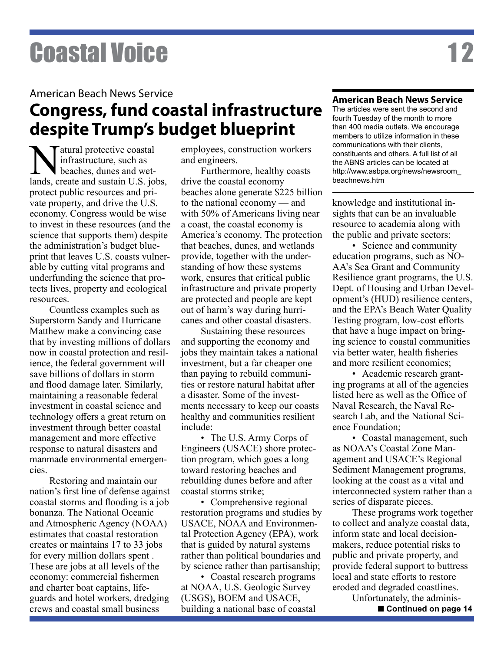#### American Beach News Service

### **Congress, fund coastal infrastructure despite Trump's budget blueprint**

Matural protective coastal<br>
infrastructure, such as<br>
lands, create and sustain U.S. jobs, infrastructure, such as beaches, dunes and wetprotect public resources and private property, and drive the U.S. economy. Congress would be wise to invest in these resources (and the science that supports them) despite the administration's budget blueprint that leaves U.S. coasts vulnerable by cutting vital programs and underfunding the science that protects lives, property and ecological resources.

Countless examples such as Superstorm Sandy and Hurricane Matthew make a convincing case that by investing millions of dollars now in coastal protection and resilience, the federal government will save billions of dollars in storm and flood damage later. Similarly, maintaining a reasonable federal investment in coastal science and technology offers a great return on investment through better coastal management and more effective response to natural disasters and manmade environmental emergencies.

Restoring and maintain our nation's first line of defense against coastal storms and flooding is a job bonanza. The National Oceanic and Atmospheric Agency (NOAA) estimates that coastal restoration creates or maintains 17 to 33 jobs for every million dollars spent . These are jobs at all levels of the economy: commercial fishermen and charter boat captains, lifeguards and hotel workers, dredging crews and coastal small business

employees, construction workers and engineers.

Furthermore, healthy coasts drive the coastal economy beaches alone generate \$225 billion to the national economy — and with 50% of Americans living near a coast, the coastal economy is America's economy. The protection that beaches, dunes, and wetlands provide, together with the understanding of how these systems work, ensures that critical public infrastructure and private property are protected and people are kept out of harm's way during hurricanes and other coastal disasters.

Sustaining these resources and supporting the economy and jobs they maintain takes a national investment, but a far cheaper one than paying to rebuild communities or restore natural habitat after a disaster. Some of the investments necessary to keep our coasts healthy and communities resilient include:

• The U.S. Army Corps of Engineers (USACE) shore protection program, which goes a long toward restoring beaches and rebuilding dunes before and after coastal storms strike;

• Comprehensive regional restoration programs and studies by USACE, NOAA and Environmental Protection Agency (EPA), work that is guided by natural systems rather than political boundaries and by science rather than partisanship;

• Coastal research programs at NOAA, U.S. Geologic Survey (USGS), BOEM and USACE, building a national base of coastal

#### **American Beach News Service**

The articles were sent the second and fourth Tuesday of the month to more than 400 media outlets. We encourage members to utilize information in these communications with their clients, constituents and others. A full list of all the ABNS articles can be located at http://www.asbpa.org/news/newsroom\_ beachnews.htm

knowledge and institutional insights that can be an invaluable resource to academia along with the public and private sectors;

• Science and community education programs, such as NO-AA's Sea Grant and Community Resilience grant programs, the U.S. Dept. of Housing and Urban Development's (HUD) resilience centers, and the EPA's Beach Water Quality Testing program, low-cost efforts that have a huge impact on bringing science to coastal communities via better water, health fisheries and more resilient economies;

• Academic research granting programs at all of the agencies listed here as well as the Office of Naval Research, the Naval Research Lab, and the National Science Foundation;

• Coastal management, such as NOAA's Coastal Zone Management and USACE's Regional Sediment Management programs, looking at the coast as a vital and interconnected system rather than a series of disparate pieces.

These programs work together to collect and analyze coastal data, inform state and local decisionmakers, reduce potential risks to public and private property, and provide federal support to buttress local and state efforts to restore eroded and degraded coastlines.

Unfortunately, the adminis-

■ Continued on page 14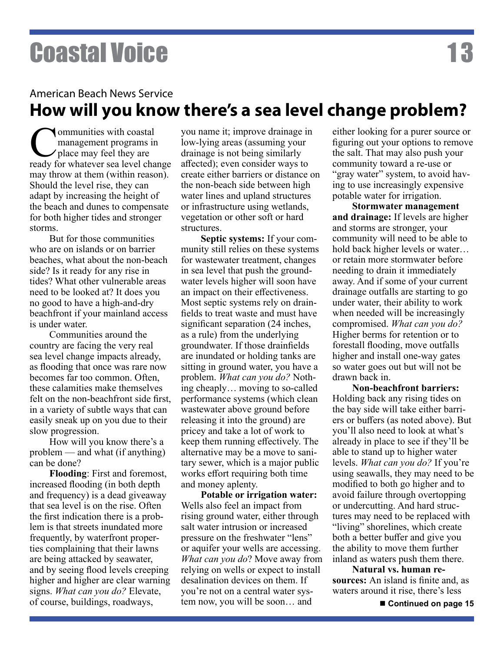**Communities with coastal<br>management programs in<br>place may feel they are<br>ready for whatever sea level cha** management programs in place may feel they are ready for whatever sea level change may throw at them (within reason). Should the level rise, they can adapt by increasing the height of the beach and dunes to compensate for both higher tides and stronger storms.

But for those communities who are on islands or on barrier beaches, what about the non-beach side? Is it ready for any rise in tides? What other vulnerable areas need to be looked at? It does you no good to have a high-and-dry beachfront if your mainland access is under water.

Communities around the country are facing the very real sea level change impacts already, as flooding that once was rare now becomes far too common. Often, these calamities make themselves felt on the non-beachfront side first, in a variety of subtle ways that can easily sneak up on you due to their slow progression.

How will you know there's a problem — and what (if anything) can be done?

**Flooding**: First and foremost, increased flooding (in both depth and frequency) is a dead giveaway that sea level is on the rise. Often the first indication there is a problem is that streets inundated more frequently, by waterfront properties complaining that their lawns are being attacked by seawater, and by seeing flood levels creeping higher and higher are clear warning signs. *What can you do?* Elevate, of course, buildings, roadways,

you name it; improve drainage in low-lying areas (assuming your drainage is not being similarly affected); even consider ways to create either barriers or distance on the non-beach side between high water lines and upland structures or infrastructure using wetlands, vegetation or other soft or hard structures.

**Septic systems:** If your community still relies on these systems for wastewater treatment, changes in sea level that push the groundwater levels higher will soon have an impact on their effectiveness. Most septic systems rely on drainfields to treat waste and must have significant separation (24 inches, as a rule) from the underlying groundwater. If those drainfields are inundated or holding tanks are sitting in ground water, you have a problem. *What can you do?* Nothing cheaply… moving to so-called performance systems (which clean wastewater above ground before releasing it into the ground) are pricey and take a lot of work to keep them running effectively. The alternative may be a move to sanitary sewer, which is a major public works effort requiring both time and money aplenty.

**Potable or irrigation water:**  Wells also feel an impact from rising ground water, either through salt water intrusion or increased pressure on the freshwater "lens" or aquifer your wells are accessing. *What can you do*? Move away from relying on wells or expect to install desalination devices on them. If you're not on a central water system now, you will be soon… and

either looking for a purer source or figuring out your options to remove the salt. That may also push your community toward a re-use or "gray water" system, to avoid having to use increasingly expensive potable water for irrigation.

**Stormwater management and drainage:** If levels are higher and storms are stronger, your community will need to be able to hold back higher levels or water… or retain more stormwater before needing to drain it immediately away. And if some of your current drainage outfalls are starting to go under water, their ability to work when needed will be increasingly compromised. *What can you do?*  Higher berms for retention or to forestall flooding, move outfalls higher and install one-way gates so water goes out but will not be drawn back in.

**Non-beachfront barriers:**  Holding back any rising tides on the bay side will take either barriers or buffers (as noted above). But you'll also need to look at what's already in place to see if they'll be able to stand up to higher water levels. *What can you do?* If you're using seawalls, they may need to be modified to both go higher and to avoid failure through overtopping or undercutting. And hard structures may need to be replaced with "living" shorelines, which create both a better buffer and give you the ability to move them further inland as waters push them there.

**Natural vs. human resources:** An island is finite and, as waters around it rise, there's less

■ Continued on page 15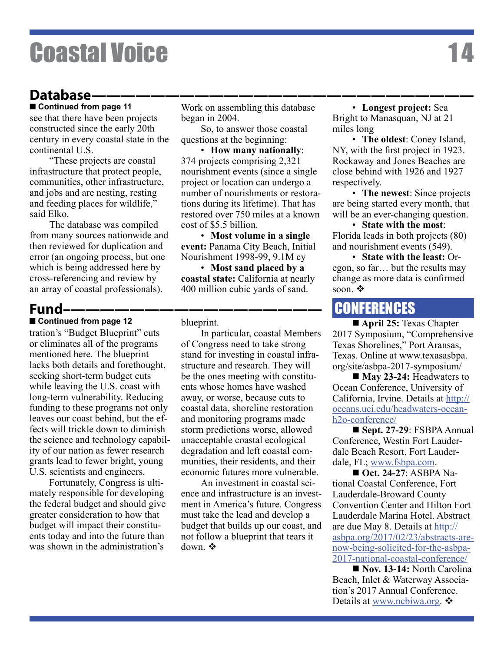#### Database-

see that there have been projects constructed since the early 20th century in every coastal state in the continental U.S. **Continued from page 11**

"These projects are coastal infrastructure that protect people, communities, other infrastructure, and jobs and are nesting, resting and feeding places for wildlife," said Elko.

The database was compiled from many sources nationwide and then reviewed for duplication and error (an ongoing process, but one which is being addressed here by cross-referencing and review by an array of coastal professionals).

#### **Fund–—————————————————**

■ Continued from page 12 tration's "Budget Blueprint" cuts or eliminates all of the programs mentioned here. The blueprint lacks both details and forethought, seeking short-term budget cuts while leaving the U.S. coast with long-term vulnerability. Reducing funding to these programs not only leaves our coast behind, but the effects will trickle down to diminish the science and technology capability of our nation as fewer research grants lead to fewer bright, young U.S. scientists and engineers.

Fortunately, Congress is ultimately responsible for developing the federal budget and should give greater consideration to how that budget will impact their constituents today and into the future than was shown in the administration's

Work on assembling this database began in 2004.

So, to answer those coastal questions at the beginning:

• **How many nationally**: 374 projects comprising 2,321 nourishment events (since a single project or location can undergo a number of nourishments or restorations during its lifetime). That has restored over 750 miles at a known cost of \$5.5 billion.

• **Most volume in a single event:** Panama City Beach, Initial Nourishment 1998-99, 9.1M cy

• **Most sand placed by a coastal state:** California at nearly 400 million cubic yards of sand.

blueprint.

In particular, coastal Members of Congress need to take strong stand for investing in coastal infrastructure and research. They will be the ones meeting with constituents whose homes have washed away, or worse, because cuts to coastal data, shoreline restoration and monitoring programs made storm predictions worse, allowed unacceptable coastal ecological degradation and left coastal communities, their residents, and their economic futures more vulnerable.

An investment in coastal science and infrastructure is an investment in America's future. Congress must take the lead and develop a budget that builds up our coast, and not follow a blueprint that tears it down.  $\mathbf{\hat{v}}$ 

• **Longest project:** Sea Bright to Manasquan, NJ at 21 miles long

• **The oldest**: Coney Island, NY, with the first project in 1923. Rockaway and Jones Beaches are close behind with 1926 and 1927 respectively.

• **The newest**: Since projects are being started every month, that will be an ever-changing question.

• **State with the most**: Florida leads in both projects (80) and nourishment events (549).

• **State with the least:** Oregon, so far… but the results may change as more data is confirmed soon.  $\mathbf{\hat{v}}$ 

### **CONFERENCES**

■ **April 25:** Texas Chapter 2017 Symposium, "Comprehensive Texas Shorelines," Port Aransas, Texas. Online at www.texasasbpa. org/site/asbpa-2017-symposium/

■ May 23-24: Headwaters to Ocean Conference, University of California, Irvine. Details at http:// oceans.uci.edu/headwaters-oceanh2o-conference/

n **Sept. 27-29**: FSBPA Annual Conference, Westin Fort Lauderdale Beach Resort, Fort Lauderdale, FL; www.fsbpa.com.

**n** Oct. 24-27: ASBPA National Coastal Conference, Fort Lauderdale-Broward County Convention Center and Hilton Fort Lauderdale Marina Hotel. Abstract are due May 8. Details at http:// asbpa.org/2017/02/23/abstracts-arenow-being-solicited-for-the-asbpa-2017-national-coastal-conference/

**Nov. 13-14: North Carolina** Beach, Inlet & Waterway Association's 2017 Annual Conference. Details at www.ncbiwa.org.  $\mathbf{\hat{v}}$